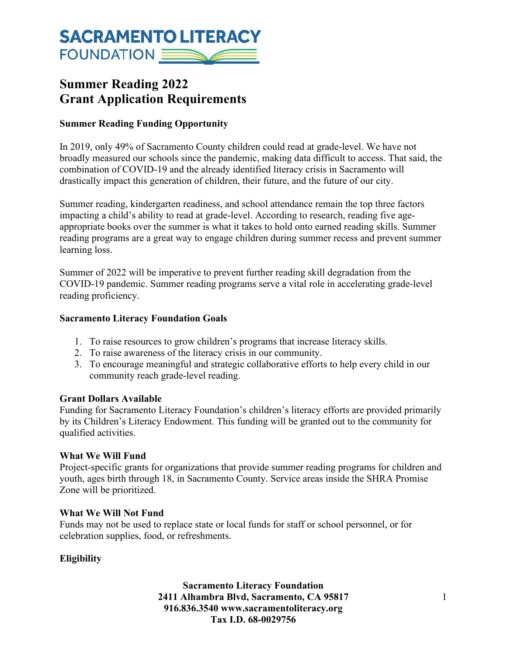# **SACRAMENTO LITERACY** FOUNDATION

# **Summer Reading 2022 Grant Application Requirements**

## **Summer Reading Funding Opportunity**

In 2019, only 49% of Sacramento County children could read at grade-level. We have not broadly measured our schools since the pandemic, making data difficult to access. That said, the combination of COVID-19 and the already identified literacy crisis in Sacramento will drastically impact this generation of children, their future, and the future of our city.

Summer reading, kindergarten readiness, and school attendance remain the top three factors impacting a child's ability to read at grade-level. According to research, reading five ageappropriate books over the summer is what it takes to hold onto earned reading skills. Summer reading programs are a great way to engage children during summer recess and prevent summer learning loss.

Summer of 2022 will be imperative to prevent further reading skill degradation from the COVID-19 pandemic. Summer reading programs serve a vital role in accelerating grade-level reading proficiency.

### **Sacramento Literacy Foundation Goals**

- 1. To raise resources to grow children's programs that increase literacy skills.
- 2. To raise awareness of the literacy crisis in our community.
- 3. To encourage meaningful and strategic collaborative efforts to help every child in our community reach grade-level reading.

### **Grant Dollars Available**

Funding for Sacramento Literacy Foundation's children's literacy efforts are provided primarily by its Children's Literacy Endowment. This funding will be granted out to the community for qualified activities.

### **What We Will Fund**

Project-specific grants for organizations that provide summer reading programs for children and youth, ages birth through 18, in Sacramento County. Service areas inside the SHRA Promise Zone will be prioritized.

### **What We Will Not Fund**

Funds may not be used to replace state or local funds for staff or school personnel, or for celebration supplies, food, or refreshments.

### **Eligibility**

**Sacramento Literacy Foundation 2411 Alhambra Blvd, Sacramento, CA 95817** 1 **916.836.3540 www.sacramentoliteracy.org Tax I.D. 68-0029756**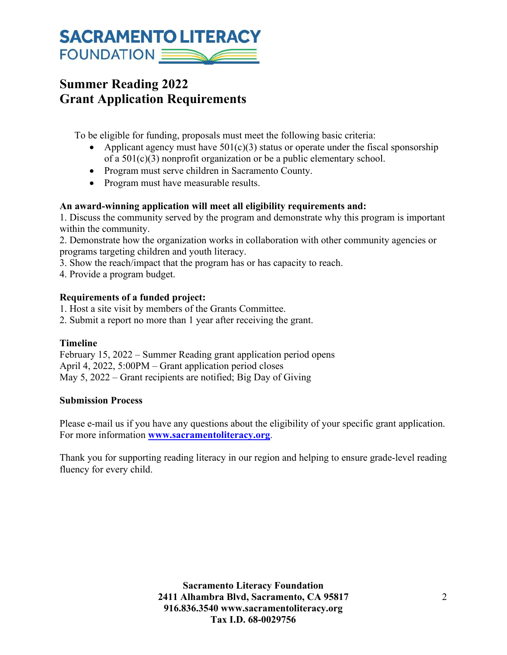# **SACRAMENTO LITERACY** FOUNDATION

# **Summer Reading 2022 Grant Application Requirements**

To be eligible for funding, proposals must meet the following basic criteria:

- Applicant agency must have  $501(c)(3)$  status or operate under the fiscal sponsorship of a 501(c)(3) nonprofit organization or be a public elementary school.
- Program must serve children in Sacramento County.
- Program must have measurable results.

### **An award-winning application will meet all eligibility requirements and:**

1. Discuss the community served by the program and demonstrate why this program is important within the community.

2. Demonstrate how the organization works in collaboration with other community agencies or programs targeting children and youth literacy.

3. Show the reach/impact that the program has or has capacity to reach.

4. Provide a program budget.

### **Requirements of a funded project:**

1. Host a site visit by members of the Grants Committee.

2. Submit a report no more than 1 year after receiving the grant.

### **Timeline**

February 15, 2022 – Summer Reading grant application period opens April 4, 2022, 5:00PM – Grant application period closes May 5, 2022 – Grant recipients are notified; Big Day of Giving

### **Submission Process**

Please e-mail us if you have any questions about the eligibility of your specific grant application. For more information **www.sacramentoliteracy.org**.

Thank you for supporting reading literacy in our region and helping to ensure grade-level reading fluency for every child.